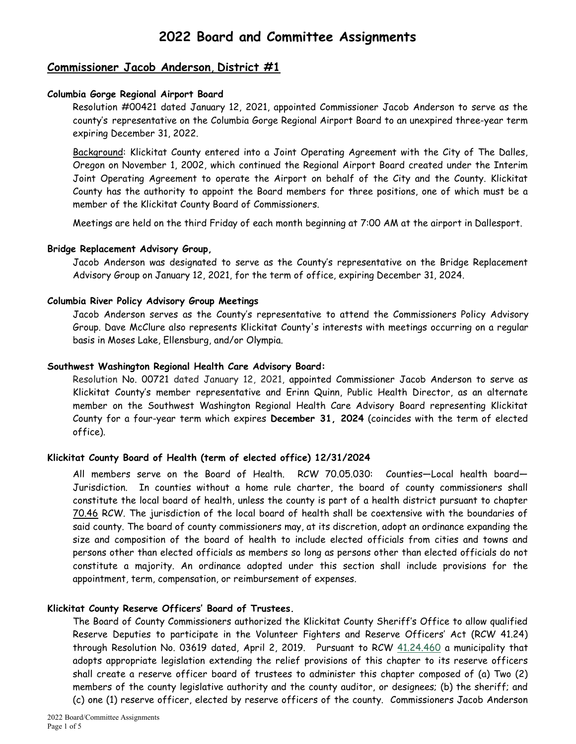# Commissioner Jacob Anderson, District #1

## Columbia Gorge Regional Airport Board

Resolution #00421 dated January 12, 2021, appointed Commissioner Jacob Anderson to serve as the county's representative on the Columbia Gorge Regional Airport Board to an unexpired three-year term expiring December 31, 2022.

 Background: Klickitat County entered into a Joint Operating Agreement with the City of The Dalles, Oregon on November 1, 2002, which continued the Regional Airport Board created under the Interim Joint Operating Agreement to operate the Airport on behalf of the City and the County. Klickitat County has the authority to appoint the Board members for three positions, one of which must be a member of the Klickitat County Board of Commissioners.

Meetings are held on the third Friday of each month beginning at 7:00 AM at the airport in Dallesport.

## Bridge Replacement Advisory Group,

 Jacob Anderson was designated to serve as the County's representative on the Bridge Replacement Advisory Group on January 12, 2021, for the term of office, expiring December 31, 2024.

## Columbia River Policy Advisory Group Meetings

Jacob Anderson serves as the County's representative to attend the Commissioners Policy Advisory Group. Dave McClure also represents Klickitat County's interests with meetings occurring on a regular basis in Moses Lake, Ellensburg, and/or Olympia.

## Southwest Washington Regional Health Care Advisory Board:

Resolution No. 00721 dated January 12, 2021, appointed Commissioner Jacob Anderson to serve as Klickitat County's member representative and Erinn Quinn, Public Health Director, as an alternate member on the Southwest Washington Regional Health Care Advisory Board representing Klickitat County for a four-year term which expires December 31, 2024 (coincides with the term of elected office).

## Klickitat County Board of Health (term of elected office) 12/31/2024

All members serve on the Board of Health. RCW 70.05.030: Counties—Local health board— Jurisdiction. In counties without a home rule charter, the board of county commissioners shall constitute the local board of health, unless the county is part of a health district pursuant to chapter 70.46 RCW. The jurisdiction of the local board of health shall be coextensive with the boundaries of said county. The board of county commissioners may, at its discretion, adopt an ordinance expanding the size and composition of the board of health to include elected officials from cities and towns and persons other than elected officials as members so long as persons other than elected officials do not constitute a majority. An ordinance adopted under this section shall include provisions for the appointment, term, compensation, or reimbursement of expenses.

### Klickitat County Reserve Officers' Board of Trustees.

The Board of County Commissioners authorized the Klickitat County Sheriff's Office to allow qualified Reserve Deputies to participate in the Volunteer Fighters and Reserve Officers' Act (RCW 41.24) through Resolution No. 03619 dated, April 2, 2019. Pursuant to RCW 41.24.460 a municipality that adopts appropriate legislation extending the relief provisions of this chapter to its reserve officers shall create a reserve officer board of trustees to administer this chapter composed of (a) Two (2) members of the county legislative authority and the county auditor, or designees; (b) the sheriff; and (c) one (1) reserve officer, elected by reserve officers of the county. Commissioners Jacob Anderson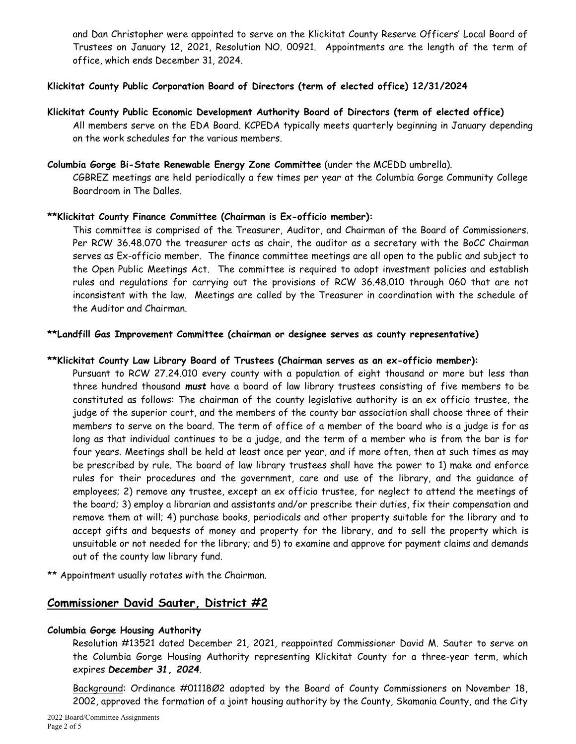and Dan Christopher were appointed to serve on the Klickitat County Reserve Officers' Local Board of Trustees on January 12, 2021, Resolution NO. 00921. Appointments are the length of the term of office, which ends December 31, 2024.

## Klickitat County Public Corporation Board of Directors (term of elected office) 12/31/2024

## Klickitat County Public Economic Development Authority Board of Directors (term of elected office)

All members serve on the EDA Board. KCPEDA typically meets quarterly beginning in January depending on the work schedules for the various members.

### Columbia Gorge Bi-State Renewable Energy Zone Committee (under the MCEDD umbrella).

CGBREZ meetings are held periodically a few times per year at the Columbia Gorge Community College Boardroom in The Dalles.

### \*\*Klickitat County Finance Committee (Chairman is Ex-officio member):

This committee is comprised of the Treasurer, Auditor, and Chairman of the Board of Commissioners. Per RCW 36.48.070 the treasurer acts as chair, the auditor as a secretary with the BoCC Chairman serves as Ex-officio member. The finance committee meetings are all open to the public and subject to the Open Public Meetings Act. The committee is required to adopt investment policies and establish rules and regulations for carrying out the provisions of RCW 36.48.010 through 060 that are not inconsistent with the law. Meetings are called by the Treasurer in coordination with the schedule of the Auditor and Chairman.

### \*\*Landfill Gas Improvement Committee (chairman or designee serves as county representative)

### \*\*Klickitat County Law Library Board of Trustees (Chairman serves as an ex-officio member):

Pursuant to RCW 27.24.010 every county with a population of eight thousand or more but less than three hundred thousand must have a board of law library trustees consisting of five members to be constituted as follows: The chairman of the county legislative authority is an ex officio trustee, the judge of the superior court, and the members of the county bar association shall choose three of their members to serve on the board. The term of office of a member of the board who is a judge is for as long as that individual continues to be a judge, and the term of a member who is from the bar is for four years. Meetings shall be held at least once per year, and if more often, then at such times as may be prescribed by rule. The board of law library trustees shall have the power to 1) make and enforce rules for their procedures and the government, care and use of the library, and the guidance of employees; 2) remove any trustee, except an ex officio trustee, for neglect to attend the meetings of the board; 3) employ a librarian and assistants and/or prescribe their duties, fix their compensation and remove them at will; 4) purchase books, periodicals and other property suitable for the library and to accept gifts and bequests of money and property for the library, and to sell the property which is unsuitable or not needed for the library; and 5) to examine and approve for payment claims and demands out of the county law library fund.

\*\* Appointment usually rotates with the Chairman.

## Commissioner David Sauter, District #2

### Columbia Gorge Housing Authority

 Resolution #13521 dated December 21, 2021, reappointed Commissioner David M. Sauter to serve on the Columbia Gorge Housing Authority representing Klickitat County for a three-year term, which expires December 31, 2024.

 Background: Ordinance #01118Ø2 adopted by the Board of County Commissioners on November 18, 2002, approved the formation of a joint housing authority by the County, Skamania County, and the City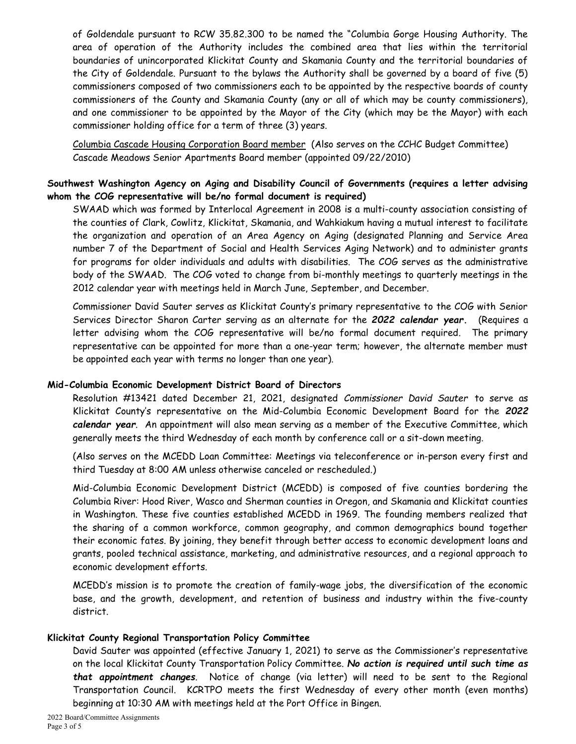of Goldendale pursuant to RCW 35.82.300 to be named the "Columbia Gorge Housing Authority. The area of operation of the Authority includes the combined area that lies within the territorial boundaries of unincorporated Klickitat County and Skamania County and the territorial boundaries of the City of Goldendale. Pursuant to the bylaws the Authority shall be governed by a board of five (5) commissioners composed of two commissioners each to be appointed by the respective boards of county commissioners of the County and Skamania County (any or all of which may be county commissioners), and one commissioner to be appointed by the Mayor of the City (which may be the Mayor) with each commissioner holding office for a term of three (3) years.

Columbia Cascade Housing Corporation Board member (Also serves on the CCHC Budget Committee) Cascade Meadows Senior Apartments Board member (appointed 09/22/2010)

## Southwest Washington Agency on Aging and Disability Council of Governments (requires a letter advising whom the COG representative will be/no formal document is required)

SWAAD which was formed by Interlocal Agreement in 2008 is a multi-county association consisting of the counties of Clark, Cowlitz, Klickitat, Skamania, and Wahkiakum having a mutual interest to facilitate the organization and operation of an Area Agency on Aging (designated Planning and Service Area number 7 of the Department of Social and Health Services Aging Network) and to administer grants for programs for older individuals and adults with disabilities. The COG serves as the administrative body of the SWAAD. The COG voted to change from bi-monthly meetings to quarterly meetings in the 2012 calendar year with meetings held in March June, September, and December.

Commissioner David Sauter serves as Klickitat County's primary representative to the COG with Senior Services Director Sharon Carter serving as an alternate for the 2022 calendar year. (Requires a letter advising whom the COG representative will be/no formal document required. The primary representative can be appointed for more than a one-year term; however, the alternate member must be appointed each year with terms no longer than one year).

### Mid-Columbia Economic Development District Board of Directors

Resolution #13421 dated December 21, 2021, designated Commissioner David Sauter to serve as Klickitat County's representative on the Mid-Columbia Economic Development Board for the 2022 calendar year. An appointment will also mean serving as a member of the Executive Committee, which generally meets the third Wednesday of each month by conference call or a sit-down meeting.

 (Also serves on the MCEDD Loan Committee: Meetings via teleconference or in-person every first and third Tuesday at 8:00 AM unless otherwise canceled or rescheduled.)

Mid-Columbia Economic Development District (MCEDD) is composed of five counties bordering the Columbia River: Hood River, Wasco and Sherman counties in Oregon, and Skamania and Klickitat counties in Washington. These five counties established MCEDD in 1969. The founding members realized that the sharing of a common workforce, common geography, and common demographics bound together their economic fates. By joining, they benefit through better access to economic development loans and grants, pooled technical assistance, marketing, and administrative resources, and a regional approach to economic development efforts.

MCEDD's mission is to promote the creation of family-wage jobs, the diversification of the economic base, and the growth, development, and retention of business and industry within the five-county district.

#### Klickitat County Regional Transportation Policy Committee

David Sauter was appointed (effective January 1, 2021) to serve as the Commissioner's representative on the local Klickitat County Transportation Policy Committee. No action is required until such time as that appointment changes. Notice of change (via letter) will need to be sent to the Regional Transportation Council. KCRTPO meets the first Wednesday of every other month (even months) beginning at 10:30 AM with meetings held at the Port Office in Bingen.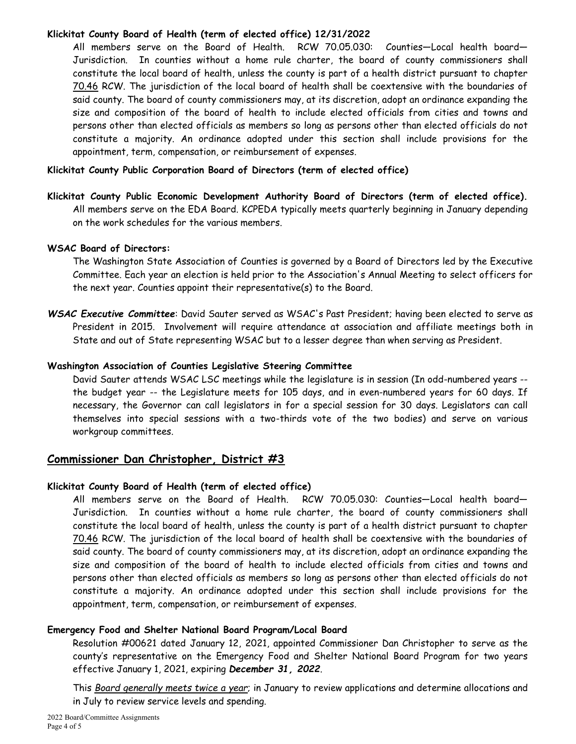## Klickitat County Board of Health (term of elected office) 12/31/2022

All members serve on the Board of Health. RCW 70.05.030: Counties—Local health board— Jurisdiction. In counties without a home rule charter, the board of county commissioners shall constitute the local board of health, unless the county is part of a health district pursuant to chapter 70.46 RCW. The jurisdiction of the local board of health shall be coextensive with the boundaries of said county. The board of county commissioners may, at its discretion, adopt an ordinance expanding the size and composition of the board of health to include elected officials from cities and towns and persons other than elected officials as members so long as persons other than elected officials do not constitute a majority. An ordinance adopted under this section shall include provisions for the appointment, term, compensation, or reimbursement of expenses.

## Klickitat County Public Corporation Board of Directors (term of elected office)

Klickitat County Public Economic Development Authority Board of Directors (term of elected office). All members serve on the EDA Board. KCPEDA typically meets quarterly beginning in January depending on the work schedules for the various members.

### WSAC Board of Directors:

The Washington State Association of Counties is governed by a Board of Directors led by the Executive Committee. Each year an election is held prior to the Association's Annual Meeting to select officers for the next year. Counties appoint their representative(s) to the Board.

WSAC Executive Committee: David Sauter served as WSAC's Past President; having been elected to serve as President in 2015. Involvement will require attendance at association and affiliate meetings both in State and out of State representing WSAC but to a lesser degree than when serving as President.

### Washington Association of Counties Legislative Steering Committee

David Sauter attends WSAC LSC meetings while the legislature is in session (In odd-numbered years - the budget year -- the Legislature meets for 105 days, and in even-numbered years for 60 days. If necessary, the Governor can call legislators in for a special session for 30 days. Legislators can call themselves into special sessions with a two-thirds vote of the two bodies) and serve on various workgroup committees.

## Commissioner Dan Christopher, District #3

### Klickitat County Board of Health (term of elected office)

All members serve on the Board of Health. RCW 70.05.030: Counties—Local health board— Jurisdiction. In counties without a home rule charter, the board of county commissioners shall constitute the local board of health, unless the county is part of a health district pursuant to chapter 70.46 RCW. The jurisdiction of the local board of health shall be coextensive with the boundaries of said county. The board of county commissioners may, at its discretion, adopt an ordinance expanding the size and composition of the board of health to include elected officials from cities and towns and persons other than elected officials as members so long as persons other than elected officials do not constitute a majority. An ordinance adopted under this section shall include provisions for the appointment, term, compensation, or reimbursement of expenses.

### Emergency Food and Shelter National Board Program/Local Board

 Resolution #00621 dated January 12, 2021, appointed Commissioner Dan Christopher to serve as the county's representative on the Emergency Food and Shelter National Board Program for two years effective January 1, 2021, expiring December 31, 2022.

 This Board generally meets twice a year; in January to review applications and determine allocations and in July to review service levels and spending.